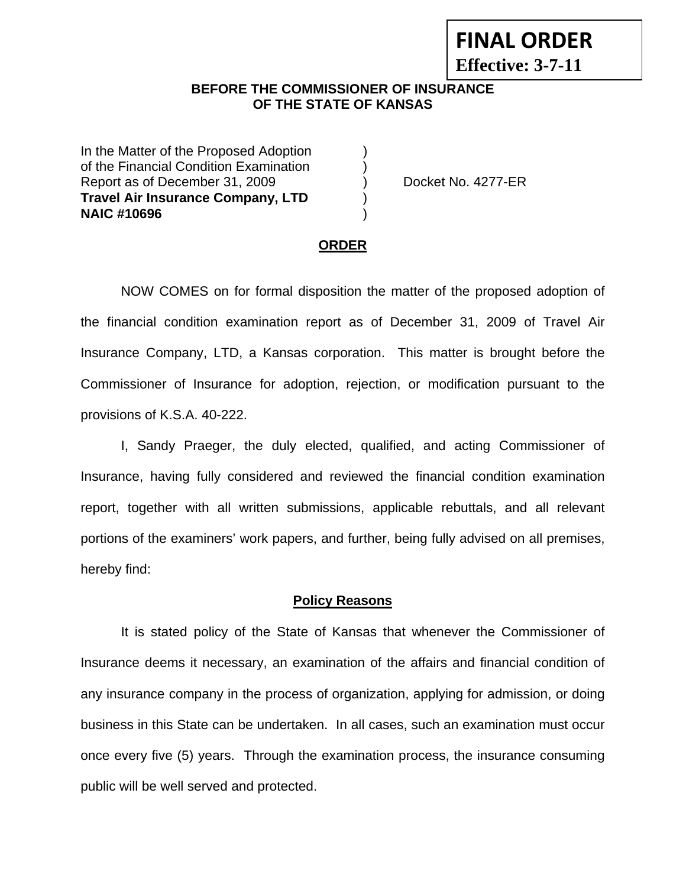# **FINAL ORDER**

**Effective: 3-7-11** 

## **BEFORE THE COMMISSIONER OF INSURANCE OF THE STATE OF KANSAS**

In the Matter of the Proposed Adoption of the Financial Condition Examination ) Report as of December 31, 2009 (a) Docket No. 4277-ER **Travel Air Insurance Company, LTD** ) **NAIC #10696** )

#### **ORDER**

 NOW COMES on for formal disposition the matter of the proposed adoption of the financial condition examination report as of December 31, 2009 of Travel Air Insurance Company, LTD, a Kansas corporation. This matter is brought before the Commissioner of Insurance for adoption, rejection, or modification pursuant to the provisions of K.S.A. 40-222.

 I, Sandy Praeger, the duly elected, qualified, and acting Commissioner of Insurance, having fully considered and reviewed the financial condition examination report, together with all written submissions, applicable rebuttals, and all relevant portions of the examiners' work papers, and further, being fully advised on all premises, hereby find:

#### **Policy Reasons**

 It is stated policy of the State of Kansas that whenever the Commissioner of Insurance deems it necessary, an examination of the affairs and financial condition of any insurance company in the process of organization, applying for admission, or doing business in this State can be undertaken. In all cases, such an examination must occur once every five (5) years. Through the examination process, the insurance consuming public will be well served and protected.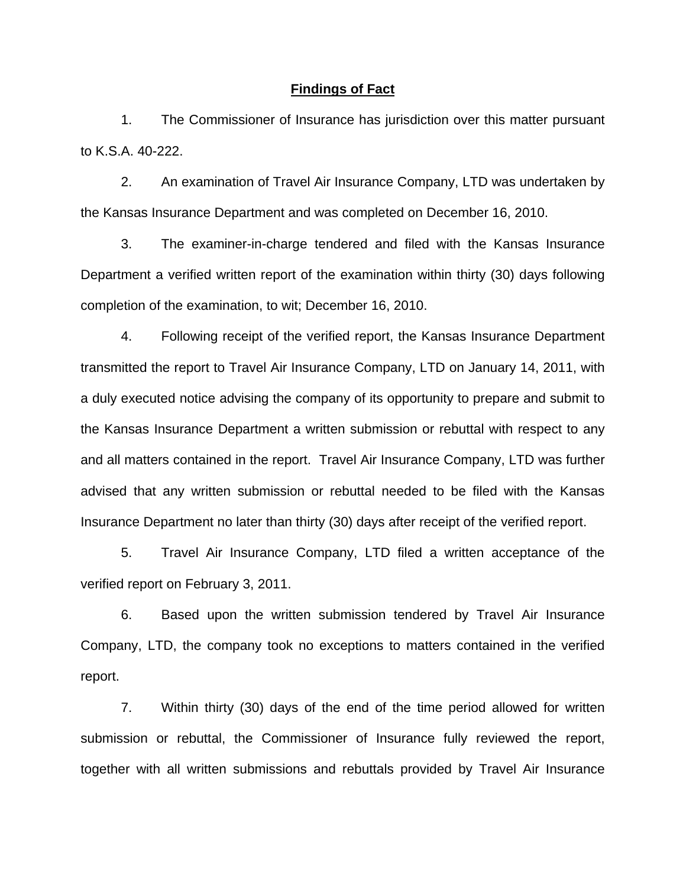#### **Findings of Fact**

 1. The Commissioner of Insurance has jurisdiction over this matter pursuant to K.S.A. 40-222.

 2. An examination of Travel Air Insurance Company, LTD was undertaken by the Kansas Insurance Department and was completed on December 16, 2010.

 3. The examiner-in-charge tendered and filed with the Kansas Insurance Department a verified written report of the examination within thirty (30) days following completion of the examination, to wit; December 16, 2010.

 4. Following receipt of the verified report, the Kansas Insurance Department transmitted the report to Travel Air Insurance Company, LTD on January 14, 2011, with a duly executed notice advising the company of its opportunity to prepare and submit to the Kansas Insurance Department a written submission or rebuttal with respect to any and all matters contained in the report. Travel Air Insurance Company, LTD was further advised that any written submission or rebuttal needed to be filed with the Kansas Insurance Department no later than thirty (30) days after receipt of the verified report.

 5. Travel Air Insurance Company, LTD filed a written acceptance of the verified report on February 3, 2011.

6. Based upon the written submission tendered by Travel Air Insurance Company, LTD, the company took no exceptions to matters contained in the verified report.

 7. Within thirty (30) days of the end of the time period allowed for written submission or rebuttal, the Commissioner of Insurance fully reviewed the report, together with all written submissions and rebuttals provided by Travel Air Insurance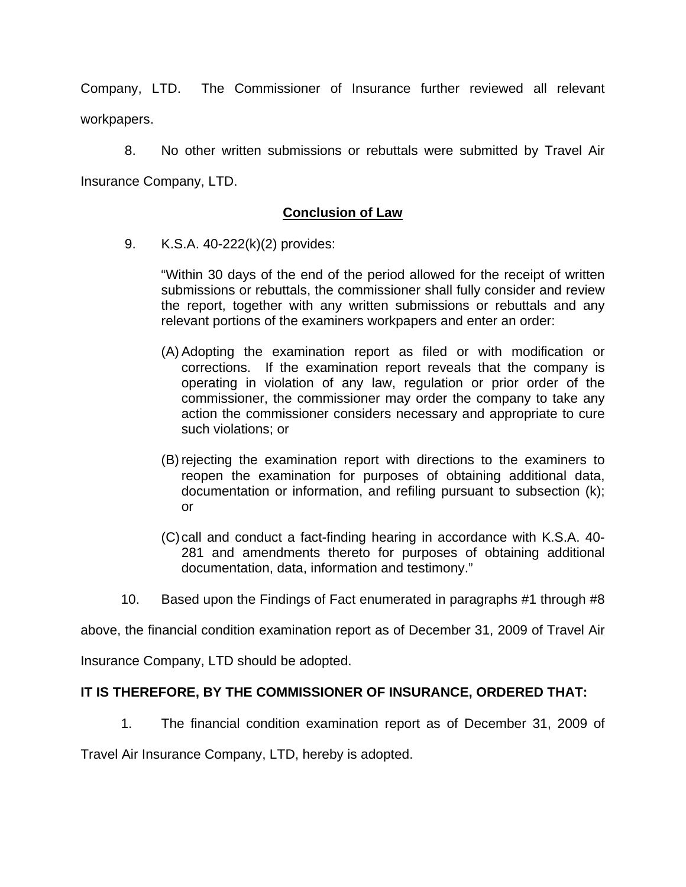Company, LTD. The Commissioner of Insurance further reviewed all relevant workpapers.

 8. No other written submissions or rebuttals were submitted by Travel Air Insurance Company, LTD.

# **Conclusion of Law**

9. K.S.A. 40-222(k)(2) provides:

"Within 30 days of the end of the period allowed for the receipt of written submissions or rebuttals, the commissioner shall fully consider and review the report, together with any written submissions or rebuttals and any relevant portions of the examiners workpapers and enter an order:

- (A) Adopting the examination report as filed or with modification or corrections. If the examination report reveals that the company is operating in violation of any law, regulation or prior order of the commissioner, the commissioner may order the company to take any action the commissioner considers necessary and appropriate to cure such violations; or
- (B) rejecting the examination report with directions to the examiners to reopen the examination for purposes of obtaining additional data, documentation or information, and refiling pursuant to subsection (k); or
- (C) call and conduct a fact-finding hearing in accordance with K.S.A. 40- 281 and amendments thereto for purposes of obtaining additional documentation, data, information and testimony."
- 10. Based upon the Findings of Fact enumerated in paragraphs #1 through #8

above, the financial condition examination report as of December 31, 2009 of Travel Air

Insurance Company, LTD should be adopted.

## **IT IS THEREFORE, BY THE COMMISSIONER OF INSURANCE, ORDERED THAT:**

1. The financial condition examination report as of December 31, 2009 of

Travel Air Insurance Company, LTD, hereby is adopted.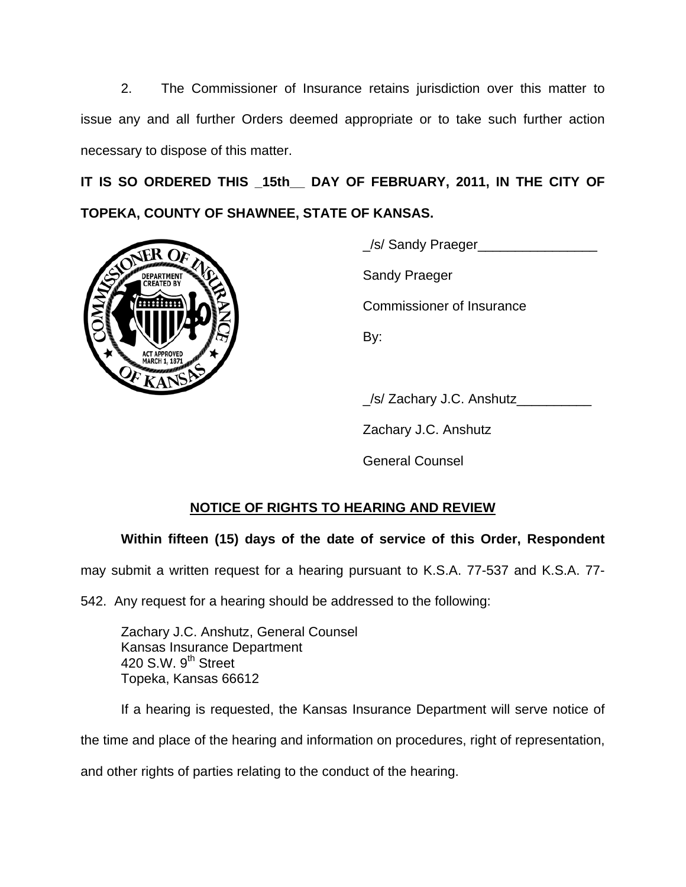2. The Commissioner of Insurance retains jurisdiction over this matter to issue any and all further Orders deemed appropriate or to take such further action necessary to dispose of this matter.

**IT IS SO ORDERED THIS \_15th\_\_ DAY OF FEBRUARY, 2011, IN THE CITY OF TOPEKA, COUNTY OF SHAWNEE, STATE OF KANSAS.** 



\_/s/ Sandy Praeger\_\_\_\_\_\_\_\_\_\_\_\_\_\_\_\_

Commissioner of Insurance

\_/s/ Zachary J.C. Anshutz\_\_\_\_\_\_\_\_\_\_

Zachary J.C. Anshutz

General Counsel

# **NOTICE OF RIGHTS TO HEARING AND REVIEW**

# **Within fifteen (15) days of the date of service of this Order, Respondent**

may submit a written request for a hearing pursuant to K.S.A. 77-537 and K.S.A. 77-

542. Any request for a hearing should be addressed to the following:

 Zachary J.C. Anshutz, General Counsel Kansas Insurance Department 420 S.W. 9<sup>th</sup> Street Topeka, Kansas 66612

If a hearing is requested, the Kansas Insurance Department will serve notice of the time and place of the hearing and information on procedures, right of representation, and other rights of parties relating to the conduct of the hearing.